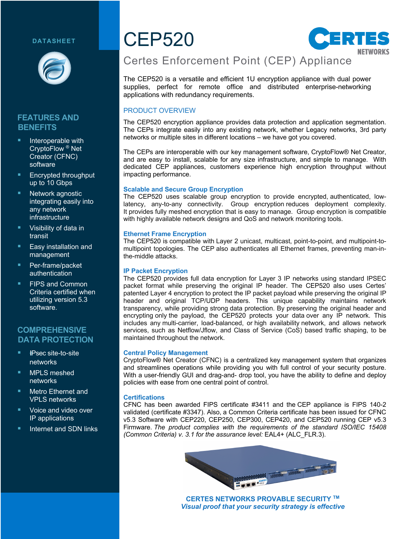### **DATASHEET**



## **FEATURES AND BENEFITS**

- Interoperable with CryptoFlow ® Net Creator (CFNC) software
- § Encrypted throughput up to 10 Gbps
- Network agnostic integrating easily into any network infrastructure
- § Visibility of data in transit
- § Easy installation and management
- § Per-frame/packet authentication
- § FIPS and Common Criteria certified when utilizing version 5.3 software.

# **COMPREHENSIVE DATA PROTECTION**

- § !*I*IPsec site-to-site networks
- § MPLS meshed networks
- § Metro Ethernet and VPLS networks
- § Voice and video over IP applications
- **E** Internet and SDN links

# CEP520



# Certes Enforcement Point (CEP) Appliance

The CEP520 is a versatile and efficient 1U encryption appliance with dual power supplies, perfect for remote office and distributed enterprise-networking applications with redundancy requirements.

### PRODUCT OVERVIEW

The CEP520 encryption appliance provides data protection and application segmentation. The CEPs integrate easily into any existing network, whether Legacy networks, 3rd party networks or multiple sites in different locations – we have got you covered.

The CEPs are interoperable with our key management software, CryptoFlow® Net Creator, and are easy to install, scalable for any size infrastructure, and simple to manage. With dedicated CEP appliances, customers experience high encryption throughput without impacting performance.

### **Scalable and Secure Group Encryption**

The CEP520 uses scalable group encryption to provide encrypted, authenticated, lowlatency, any-to-any connectivity. Group encryption reduces deployment complexity. It provides fully meshed encryption that is easy to manage. Group encryption is compatible with highly available network designs and QoS and network monitoring tools.

### **Ethernet Frame Encryption**

The CEP520 is compatible with Layer 2 unicast, multicast, point-to-point, and multipoint-tomultipoint topologies. The CEP also authenticates all Ethernet frames, preventing man-inthe-middle attacks.

### **IP Packet Encryption**

The CEP520 provides full data encryption for Layer 3 IP networks using standard IPSEC packet format while preserving the original IP header. The CEP520 also uses Certes' patented Layer 4 encryption to protect the IP packet payload while preserving the original IP header and original TCP/UDP headers. This unique capability maintains network transparency, while providing strong data protection. By preserving the original header and encrypting only the payload, the CEP520 protects your data over any IP network. This includes any multi-carrier, load-balanced, or high availability network, and allows network services, such as Netflow/Jflow, and Class of Service (CoS) based traffic shaping, to be maintained throughout the network.

### **Central Policy Management**

CryptoFlow® Net Creator (CFNC) is a centralized key management system that organizes and streamlines operations while providing you with full control of your security posture. With a user-friendly GUI and drag-and- drop tool, you have the ability to define and deploy policies with ease from one central point of control.

### **Certifications**

CFNC has been awarded FIPS certificate #3411 and the CEP appliance is FIPS 140-2 validated (certificate #3347). Also, a Common Criteria certificate has been issued for CFNC v5.3 Software with CEP220, CEP250, CEP300, CEP420, and CEP520 running CEP v5.3 Firmware. *The product complies with the requirements of the standard ISO/IEC 15408 (Common Criteria) v. 3.1 for the assurance level:* EAL4+ (ALC\_FLR.3).



**CERTES NETWORKS PROVABLE SECURITY TM** *Visual proof that your security strategy is effective*